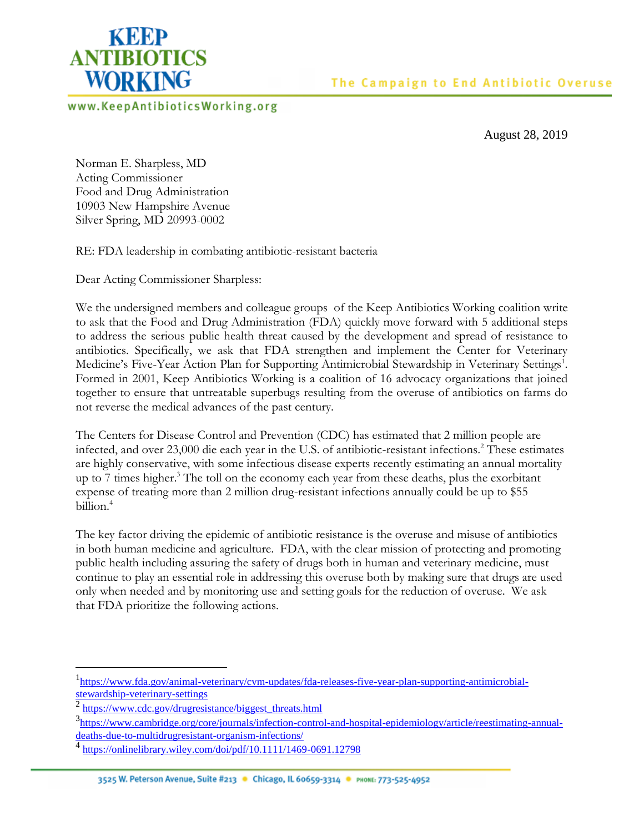

www.KeepAntibioticsWorking.org

August 28, 2019

Norman E. Sharpless, MD Acting Commissioner Food and Drug Administration 10903 New Hampshire Avenue Silver Spring, MD 20993-0002

RE: FDA leadership in combating antibiotic-resistant bacteria

Dear Acting Commissioner Sharpless:

We the undersigned members and colleague groups of the Keep Antibiotics Working coalition write to ask that the Food and Drug Administration (FDA) quickly move forward with 5 additional steps to address the serious public health threat caused by the development and spread of resistance to antibiotics. Specifically, we ask that FDA strengthen and implement the Center for Veterinary Medicine's Five-Year Action Plan for Supporting Antimicrobial Stewardship in Veterinary Settings<sup>1</sup>. Formed in 2001, Keep Antibiotics Working is a coalition of 16 advocacy organizations that joined together to ensure that untreatable superbugs resulting from the overuse of antibiotics on farms do not reverse the medical advances of the past century.

The Centers for Disease Control and Prevention (CDC) has estimated that 2 million people are infected, and over 23,000 die each year in the U.S. of antibiotic-resistant infections.<sup>2</sup> These estimates are highly conservative, with some infectious disease experts recently estimating an annual mortality up to 7 times higher.<sup>3</sup> The toll on the economy each year from these deaths, plus the exorbitant expense of treating more than 2 million drug-resistant infections annually could be up to \$55 billion $4$ 

The key factor driving the epidemic of antibiotic resistance is the overuse and misuse of antibiotics in both human medicine and agriculture. FDA, with the clear mission of protecting and promoting public health including assuring the safety of drugs both in human and veterinary medicine, must continue to play an essential role in addressing this overuse both by making sure that drugs are used only when needed and by monitoring use and setting goals for the reduction of overuse. We ask that FDA prioritize the following actions.

<sup>&</sup>lt;sup>1</sup>[https://www.fda.gov/animal-veterinary/cvm-updates/fda-releases-five-year-plan-supporting-antimicrobial](https://www.fda.gov/animal-veterinary/cvm-updates/fda-releases-five-year-plan-supporting-antimicrobial-stewardship-veterinary-settings)[stewardship-veterinary-settings](https://www.fda.gov/animal-veterinary/cvm-updates/fda-releases-five-year-plan-supporting-antimicrobial-stewardship-veterinary-settings)

<sup>&</sup>lt;sup>2</sup> https://www.cdc.gov/drugresistance/biggest\_threats.html

<sup>&</sup>lt;sup>3</sup>[https://www.cambridge.org/core/journals/infection-control-and-hospital-epidemiology/article/reestimating-annual](https://www.cambridge.org/core/journals/infection-control-and-hospital-epidemiology/article/reestimating-annual-deaths-due-to-multidrugresistant-organism-infections/)[deaths-due-to-multidrugresistant-organism-infections/](https://www.cambridge.org/core/journals/infection-control-and-hospital-epidemiology/article/reestimating-annual-deaths-due-to-multidrugresistant-organism-infections/)

<sup>4</sup> https://onlinelibrary.wiley.com/doi/pdf/10.1111/1469-0691.12798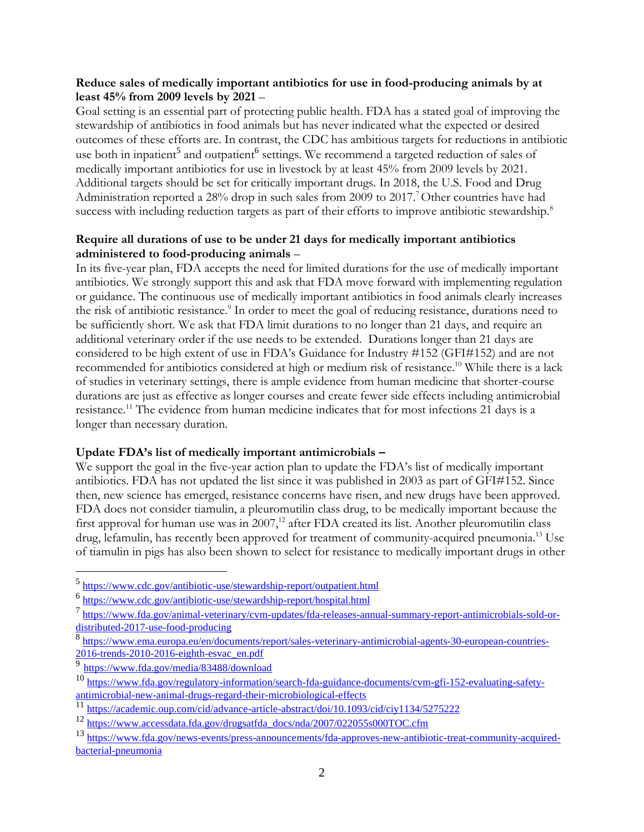#### **Reduce sales of medically important antibiotics for use in food-producing animals by at least 45% from 2009 levels by 2021** –

Goal setting is an essential part of protecting public health. FDA has a stated goal of improving the stewardship of antibiotics in food animals but has never indicated what the expected or desired outcomes of these efforts are. In contrast, the CDC has ambitious targets for reductions in antibiotic use both in inpatient<sup>5</sup> and outpatient<sup>6</sup> settings. We recommend a targeted reduction of sales of medically important antibiotics for use in livestock by at least 45% from 2009 levels by 2021. Additional targets should be set for critically important drugs. In 2018, the U.S. Food and Drug Administration reported a 28% drop in such sales from 2009 to 2017.<sup>7</sup> Other countries have had success with including reduction targets as part of their efforts to improve antibiotic stewardship.<sup>8</sup>

#### **Require all durations of use to be under 21 days for medically important antibiotics administered to food-producing animals** –

In its five-year plan, FDA accepts the need for limited durations for the use of medically important antibiotics. We strongly support this and ask that FDA move forward with implementing regulation or guidance. The continuous use of medically important antibiotics in food animals clearly increases the risk of antibiotic resistance.<sup>9</sup> In order to meet the goal of reducing resistance, durations need to be sufficiently short. We ask that FDA limit durations to no longer than 21 days, and require an additional veterinary order if the use needs to be extended. Durations longer than 21 days are considered to be high extent of use in FDA's Guidance for Industry #152 (GFI#152) and are not recommended for antibiotics considered at high or medium risk of resistance.<sup>10</sup> While there is a lack of studies in veterinary settings, there is ample evidence from human medicine that shorter-course durations are just as effective as longer courses and create fewer side effects including antimicrobial resistance.<sup>11</sup> The evidence from human medicine indicates that for most infections 21 days is a longer than necessary duration.

## **Update FDA's list of medically important antimicrobials –**

We support the goal in the five-year action plan to update the FDA's list of medically important antibiotics. FDA has not updated the list since it was published in 2003 as part of GFI#152. Since then, new science has emerged, resistance concerns have risen, and new drugs have been approved. FDA does not consider tiamulin, a pleuromutilin class drug, to be medically important because the first approval for human use was in  $2007$ ,<sup>12</sup> after FDA created its list. Another pleuromutilin class drug, lefamulin, has recently been approved for treatment of community-acquired pneumonia. <sup>13</sup> Use of tiamulin in pigs has also been shown to select for resistance to medically important drugs in other

<sup>5</sup> <https://www.cdc.gov/antibiotic-use/stewardship-report/outpatient.html>

<sup>6</sup> https://www.cdc.gov/antibiotic-use/stewardship-report/hospital.html

<sup>7</sup> [https://www.fda.gov/animal-veterinary/cvm-updates/fda-releases-annual-summary-report-antimicrobials-sold-or](https://www.fda.gov/animal-veterinary/cvm-updates/fda-releases-annual-summary-report-antimicrobials-sold-or-distributed-2017-use-food-producing)[distributed-2017-use-food-producing](https://www.fda.gov/animal-veterinary/cvm-updates/fda-releases-annual-summary-report-antimicrobials-sold-or-distributed-2017-use-food-producing)

<sup>8</sup> [https://www.ema.europa.eu/en/documents/report/sales-veterinary-antimicrobial-agents-30-european-countries-](https://www.ema.europa.eu/en/documents/report/sales-veterinary-antimicrobial-agents-30-european-countries-2016-trends-2010-2016-eighth-esvac_en.pdf)[2016-trends-2010-2016-eighth-esvac\\_en.pdf](https://www.ema.europa.eu/en/documents/report/sales-veterinary-antimicrobial-agents-30-european-countries-2016-trends-2010-2016-eighth-esvac_en.pdf)

<sup>9</sup> <https://www.fda.gov/media/83488/download>

<sup>10</sup> [https://www.fda.gov/regulatory-information/search-fda-guidance-documents/cvm-gfi-152-evaluating-safety](https://www.fda.gov/regulatory-information/search-fda-guidance-documents/cvm-gfi-152-evaluating-safety-antimicrobial-new-animal-drugs-regard-their-microbiological-effects)[antimicrobial-new-animal-drugs-regard-their-microbiological-effects](https://www.fda.gov/regulatory-information/search-fda-guidance-documents/cvm-gfi-152-evaluating-safety-antimicrobial-new-animal-drugs-regard-their-microbiological-effects)

<sup>11</sup> <https://academic.oup.com/cid/advance-article-abstract/doi/10.1093/cid/ciy1134/5275222>

<sup>12</sup> [https://www.accessdata.fda.gov/drugsatfda\\_docs/nda/2007/022055s000TOC.cfm](https://www.accessdata.fda.gov/drugsatfda_docs/nda/2007/022055s000TOC.cfm)

<sup>13</sup> [https://www.fda.gov/news-events/press-announcements/fda-approves-new-antibiotic-treat-community-acquired](https://www.fda.gov/news-events/press-announcements/fda-approves-new-antibiotic-treat-community-acquired-bacterial-pneumonia)[bacterial-pneumonia](https://www.fda.gov/news-events/press-announcements/fda-approves-new-antibiotic-treat-community-acquired-bacterial-pneumonia)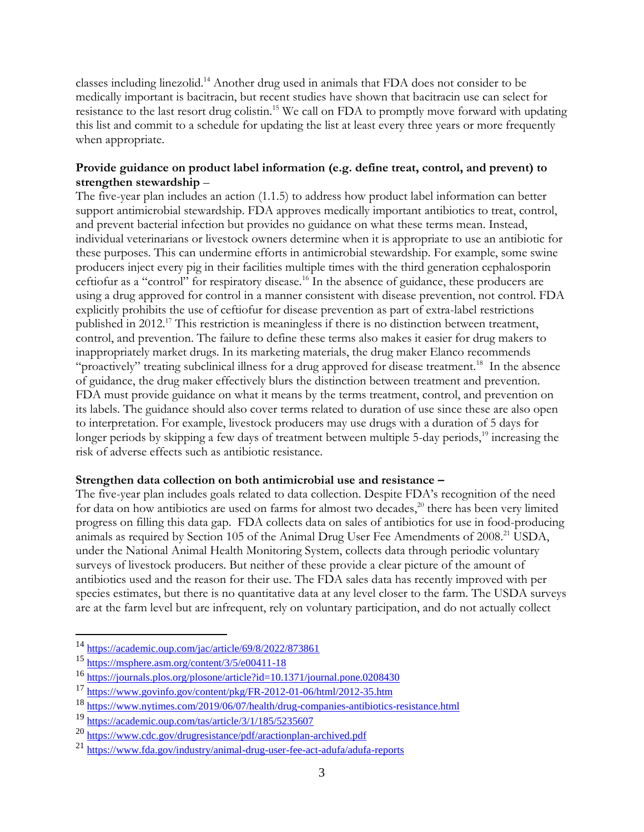classes including linezolid.<sup>14</sup> Another drug used in animals that FDA does not consider to be medically important is bacitracin, but recent studies have shown that bacitracin use can select for resistance to the last resort drug colistin.<sup>15</sup> We call on FDA to promptly move forward with updating this list and commit to a schedule for updating the list at least every three years or more frequently when appropriate.

# **Provide guidance on product label information (e.g. define treat, control, and prevent) to strengthen stewardship** –

The five-year plan includes an action (1.1.5) to address how product label information can better support antimicrobial stewardship. FDA approves medically important antibiotics to treat, control, and prevent bacterial infection but provides no guidance on what these terms mean. Instead, individual veterinarians or livestock owners determine when it is appropriate to use an antibiotic for these purposes. This can undermine efforts in antimicrobial stewardship. For example, some swine producers inject every pig in their facilities multiple times with the third generation cephalosporin ceftiofur as a "control" for respiratory disease.<sup>16</sup> In the absence of guidance, these producers are using a drug approved for control in a manner consistent with disease prevention, not control. FDA explicitly prohibits the use of ceftiofur for disease prevention as part of extra-label restrictions published in 2012.<sup>17</sup> This restriction is meaningless if there is no distinction between treatment, control, and prevention. The failure to define these terms also makes it easier for drug makers to inappropriately market drugs. In its marketing materials, the drug maker Elanco recommends "proactively" treating subclinical illness for a drug approved for disease treatment.<sup>18</sup> In the absence of guidance, the drug maker effectively blurs the distinction between treatment and prevention. FDA must provide guidance on what it means by the terms treatment, control, and prevention on its labels. The guidance should also cover terms related to duration of use since these are also open to interpretation. For example, livestock producers may use drugs with a duration of 5 days for longer periods by skipping a few days of treatment between multiple 5-day periods,<sup>19</sup> increasing the risk of adverse effects such as antibiotic resistance.

## **Strengthen data collection on both antimicrobial use and resistance –**

The five-year plan includes goals related to data collection. Despite FDA's recognition of the need for data on how antibiotics are used on farms for almost two decades, <sup>20</sup> there has been very limited progress on filling this data gap. FDA collects data on sales of antibiotics for use in food-producing animals as required by Section 105 of the Animal Drug User Fee Amendments of 2008.<sup>21</sup> USDA, under the National Animal Health Monitoring System, collects data through periodic voluntary surveys of livestock producers. But neither of these provide a clear picture of the amount of antibiotics used and the reason for their use. The FDA sales data has recently improved with per species estimates, but there is no quantitative data at any level closer to the farm. The USDA surveys are at the farm level but are infrequent, rely on voluntary participation, and do not actually collect

<sup>&</sup>lt;sup>14</sup> <https://academic.oup.com/jac/article/69/8/2022/873861>

<sup>15</sup> https://msphere.asm.org/content/3/5/e00411-18

<sup>16</sup> <https://journals.plos.org/plosone/article?id=10.1371/journal.pone.0208430>

<sup>17</sup> <https://www.govinfo.gov/content/pkg/FR-2012-01-06/html/2012-35.htm>

<sup>18</sup> https://www.nytimes.com/2019/06/07/health/drug-companies-antibiotics-resistance.html

<sup>19</sup> <https://academic.oup.com/tas/article/3/1/185/5235607>

<sup>20</sup> <https://www.cdc.gov/drugresistance/pdf/aractionplan-archived.pdf>

<sup>21</sup> <https://www.fda.gov/industry/animal-drug-user-fee-act-adufa/adufa-reports>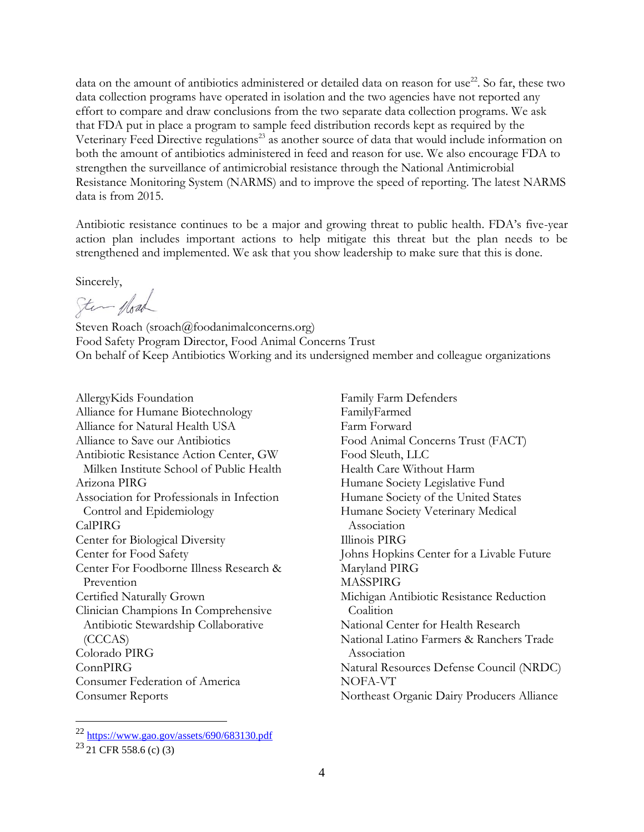data on the amount of antibiotics administered or detailed data on reason for use<sup>22</sup>. So far, these two data collection programs have operated in isolation and the two agencies have not reported any effort to compare and draw conclusions from the two separate data collection programs. We ask that FDA put in place a program to sample feed distribution records kept as required by the Veterinary Feed Directive regulations<sup>23</sup> as another source of data that would include information on both the amount of antibiotics administered in feed and reason for use. We also encourage FDA to strengthen the surveillance of antimicrobial resistance through the National Antimicrobial Resistance Monitoring System (NARMS) and to improve the speed of reporting. The latest NARMS data is from 2015.

Antibiotic resistance continues to be a major and growing threat to public health. FDA's five-year action plan includes important actions to help mitigate this threat but the plan needs to be strengthened and implemented. We ask that you show leadership to make sure that this is done.

Sincerely,

Ster fload

Steven Roach (sroach@foodanimalconcerns.org) Food Safety Program Director, Food Animal Concerns Trust On behalf of Keep Antibiotics Working and its undersigned member and colleague organizations

AllergyKids Foundation Alliance for Humane Biotechnology Alliance for Natural Health USA Alliance to Save our Antibiotics Antibiotic Resistance Action Center, GW Milken Institute School of Public Health Arizona PIRG Association for Professionals in Infection Control and Epidemiology CalPIRG Center for Biological Diversity Center for Food Safety Center For Foodborne Illness Research & Prevention Certified Naturally Grown Clinician Champions In Comprehensive Antibiotic Stewardship Collaborative (CCCAS) Colorado PIRG ConnPIRG Consumer Federation of America Consumer Reports

Family Farm Defenders FamilyFarmed Farm Forward Food Animal Concerns Trust (FACT) Food Sleuth, LLC Health Care Without Harm Humane Society Legislative Fund Humane Society of the United States Humane Society Veterinary Medical Association Illinois PIRG Johns Hopkins Center for a Livable Future Maryland PIRG MASSPIRG Michigan Antibiotic Resistance Reduction Coalition National Center for Health Research National Latino Farmers & Ranchers Trade Association Natural Resources Defense Council (NRDC) NOFA-VT Northeast Organic Dairy Producers Alliance

<sup>22</sup> <https://www.gao.gov/assets/690/683130.pdf>

 $^{23}$  21 CFR 558.6 (c) (3)